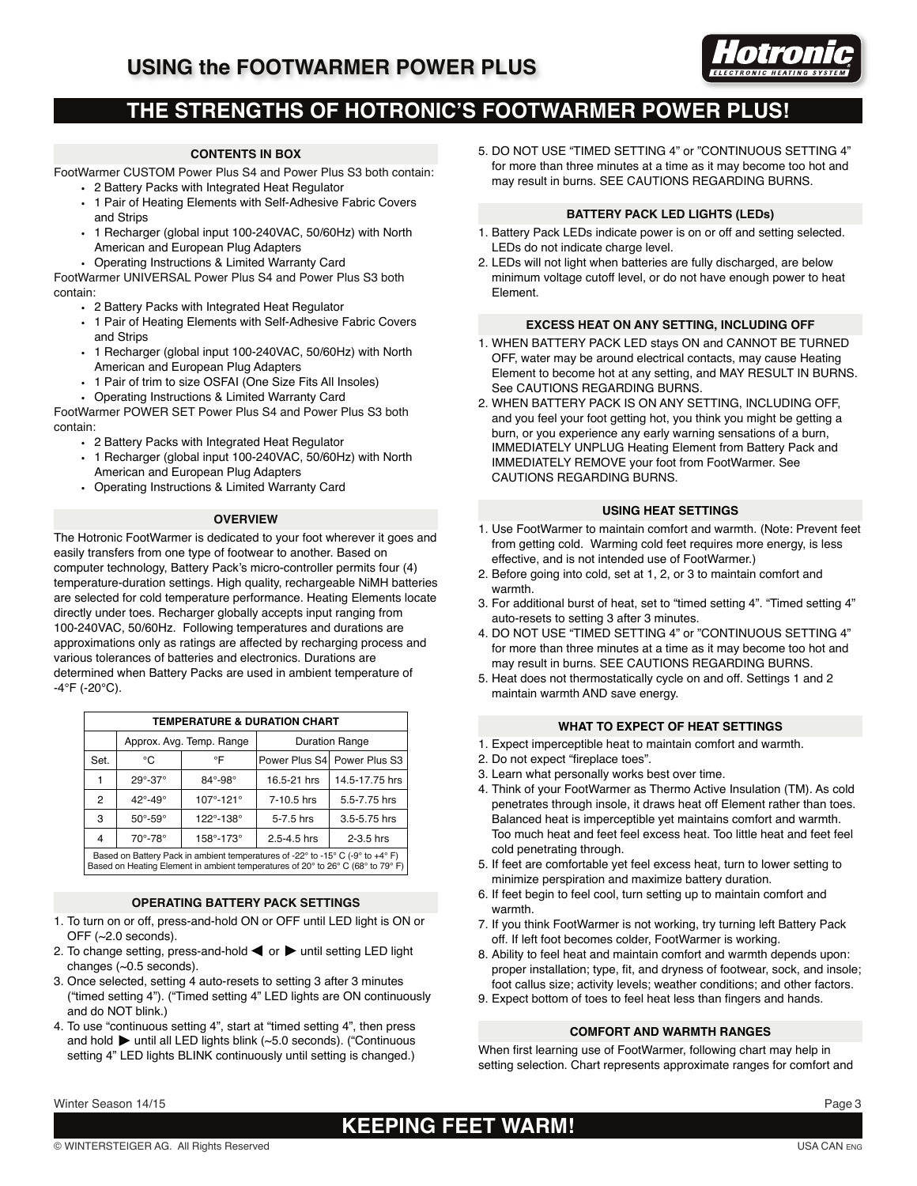

#### **CONTENTS IN BOX**

FootWarmer CUSTOM Power Plus S4 and Power Plus S3 both contain:

- 2 Battery Packs with Integrated Heat Regulator • 1 Pair of Heating Elements with Self-Adhesive Fabric Covers and Strips
- 1 Recharger (global input 100-240VAC, 50/60Hz) with North American and European Plug Adapters
- Operating Instructions & Limited Warranty Card

FootWarmer UNIVERSAL Power Plus S4 and Power Plus S3 both contain:

- 2 Battery Packs with Integrated Heat Regulator
- 1 Pair of Heating Elements with Self-Adhesive Fabric Covers and Strips
- 1 Recharger (global input 100-240VAC, 50/60Hz) with North American and European Plug Adapters
- 1 Pair of trim to size OSFAI (One Size Fits All Insoles)
- Operating Instructions & Limited Warranty Card

FootWarmer POWER SET Power Plus S4 and Power Plus S3 both contain:

- 2 Battery Packs with Integrated Heat Regulator
- 1 Recharger (global input 100-240VAC, 50/60Hz) with North American and European Plug Adapters
- Operating Instructions & Limited Warranty Card

### **OVERVIEW**

The Hotronic FootWarmer is dedicated to your foot wherever it goes and easily transfers from one type of footwear to another. Based on computer technology, Battery Pack's micro-controller permits four (4) temperature-duration settings. High quality, rechargeable NiMH batteries are selected for cold temperature performance. Heating Elements locate directly under toes. Recharger globally accepts input ranging from 100-240VAC, 50/60Hz. Following temperatures and durations are approximations only as ratings are affected by recharging process and various tolerances of batteries and electronics. Durations are determined when Battery Packs are used in ambient temperature of  $-4$ °F ( $-20$ °C).

| <b>TEMPERATURE &amp; DURATION CHART</b>                                                                                                                           |                       |                          |                       |                               |  |  |  |  |  |  |  |
|-------------------------------------------------------------------------------------------------------------------------------------------------------------------|-----------------------|--------------------------|-----------------------|-------------------------------|--|--|--|--|--|--|--|
|                                                                                                                                                                   |                       | Approx. Avg. Temp. Range | <b>Duration Range</b> |                               |  |  |  |  |  |  |  |
| Set.                                                                                                                                                              | °C                    | °F                       |                       | Power Plus S4   Power Plus S3 |  |  |  |  |  |  |  |
|                                                                                                                                                                   | $29^\circ - 37^\circ$ | $84^\circ - 98^\circ$    | 16.5-21 hrs           | 14.5-17.75 hrs                |  |  |  |  |  |  |  |
| $\overline{2}$                                                                                                                                                    | $42^\circ - 49^\circ$ | 107°-121°                | 7-10.5 hrs            | 5.5-7.75 hrs                  |  |  |  |  |  |  |  |
| 3                                                                                                                                                                 | $50^\circ - 59^\circ$ | 122°-138°                | 5-7.5 hrs             | 3.5-5.75 hrs                  |  |  |  |  |  |  |  |
| 4                                                                                                                                                                 | $70^\circ - 78^\circ$ | 158°-173°                | $2.5 - 4.5$ hrs       | 2-3.5 hrs                     |  |  |  |  |  |  |  |
| Based on Battery Pack in ambient temperatures of -22° to -15° C (-9° to +4° F)<br>Based on Heating Element in ambient temperatures of 20° to 26° C (68° to 79° F) |                       |                          |                       |                               |  |  |  |  |  |  |  |

#### **OPERATING BATTERY PACK SETTINGS**

- 1. To turn on or off, press-and-hold ON or OFF until LED light is ON or OFF (~2.0 seconds).
- 2. To change setting, press-and-hold  $\blacktriangleleft$  or  $\blacktriangleright$  until setting LED light changes (~0.5 seconds).
- 3. Once selected, setting 4 auto-resets to setting 3 after 3 minutes ("timed setting 4"). ("Timed setting 4" LED lights are ON continuously and do NOT blink.)
- 4. To use "continuous setting 4", start at "timed setting 4", then press and hold  $\blacktriangleright$  until all LED lights blink ( $\sim$ 5.0 seconds). ("Continuous setting 4" LED lights BLINK continuously until setting is changed.)

5. DO NOT USE "TIMED SETTING 4" or "CONTINUOUS SETTING 4" for more than three minutes at a time as it may become too hot and may result in burns. SEE CAUTIONS REGARDING BURNS.

#### **BATTERY PACK LED LIGHTS (LEDs)**

- 1. Battery Pack LEDs indicate power is on or off and setting selected. LEDs do not indicate charge level.
- 2. LEDs will not light when batteries are fully discharged, are below minimum voltage cutoff level, or do not have enough power to heat Element.

#### **EXCESS HEAT ON ANY SETTING, INCLUDING OFF**

- 1. WHEN BATTERY PACK LED stays ON and CANNOT BE TURNED OFF, water may be around electrical contacts, may cause Heating Element to become hot at any setting, and MAY RESULT IN BURNS. See CAUTIONS REGARDING BURNS.
- 2. WHEN BATTERY PACK IS ON ANY SETTING, INCLUDING OFF, and you feel your foot getting hot, you think you might be getting a burn, or you experience any early warning sensations of a burn, IMMEDIATELY UNPLUG Heating Element from Battery Pack and IMMEDIATELY REMOVE your foot from FootWarmer. See CAUTIONS REGARDING BURNS.

#### **USING HEAT SETTINGS**

- 1. Use FootWarmer to maintain comfort and warmth. (Note: Prevent feet from getting cold. Warming cold feet requires more energy, is less effective, and is not intended use of FootWarmer.)
- 2. Before going into cold, set at 1, 2, or 3 to maintain comfort and warmth.
- 3. For additional burst of heat, set to "timed setting 4". "Timed setting 4" auto-resets to setting 3 after 3 minutes.
- 4. DO NOT USE "TIMED SETTING 4" or "CONTINUOUS SETTING 4" for more than three minutes at a time as it may become too hot and may result in burns. SEE CAUTIONS REGARDING BURNS.
- 5. Heat does not thermostatically cycle on and off. Settings 1 and 2 maintain warmth AND save energy.

#### **WHAT TO EXPECT OF HEAT SETTINGS**

- 1. Expect imperceptible heat to maintain comfort and warmth.
- 2. Do not expect "fireplace toes".
- 3. Learn what personally works best over time.
- 4. Think of your FootWarmer as Thermo Active Insulation (TM). As cold penetrates through insole, it draws heat off Element rather than toes. Balanced heat is imperceptible yet maintains comfort and warmth. Too much heat and feet feel excess heat. Too little heat and feet feel cold penetrating through.
- 5. If feet are comfortable yet feel excess heat, turn to lower setting to minimize perspiration and maximize battery duration.
- 6. If feet begin to feel cool, turn setting up to maintain comfort and warmth.
- 7. If you think FootWarmer is not working, try turning left Battery Pack off. If left foot becomes colder, FootWarmer is working.
- 8. Ability to feel heat and maintain comfort and warmth depends upon: proper installation; type, fit, and dryness of footwear, sock, and insole; foot callus size; activity levels; weather conditions; and other factors.
- 9. Expect bottom of toes to feel heat less than fingers and hands.

#### **COMFORT AND WARMTH RANGES**

When first learning use of FootWarmer, following chart may help in setting selection. Chart represents approximate ranges for comfort and

Winter Season 14/15 Page 3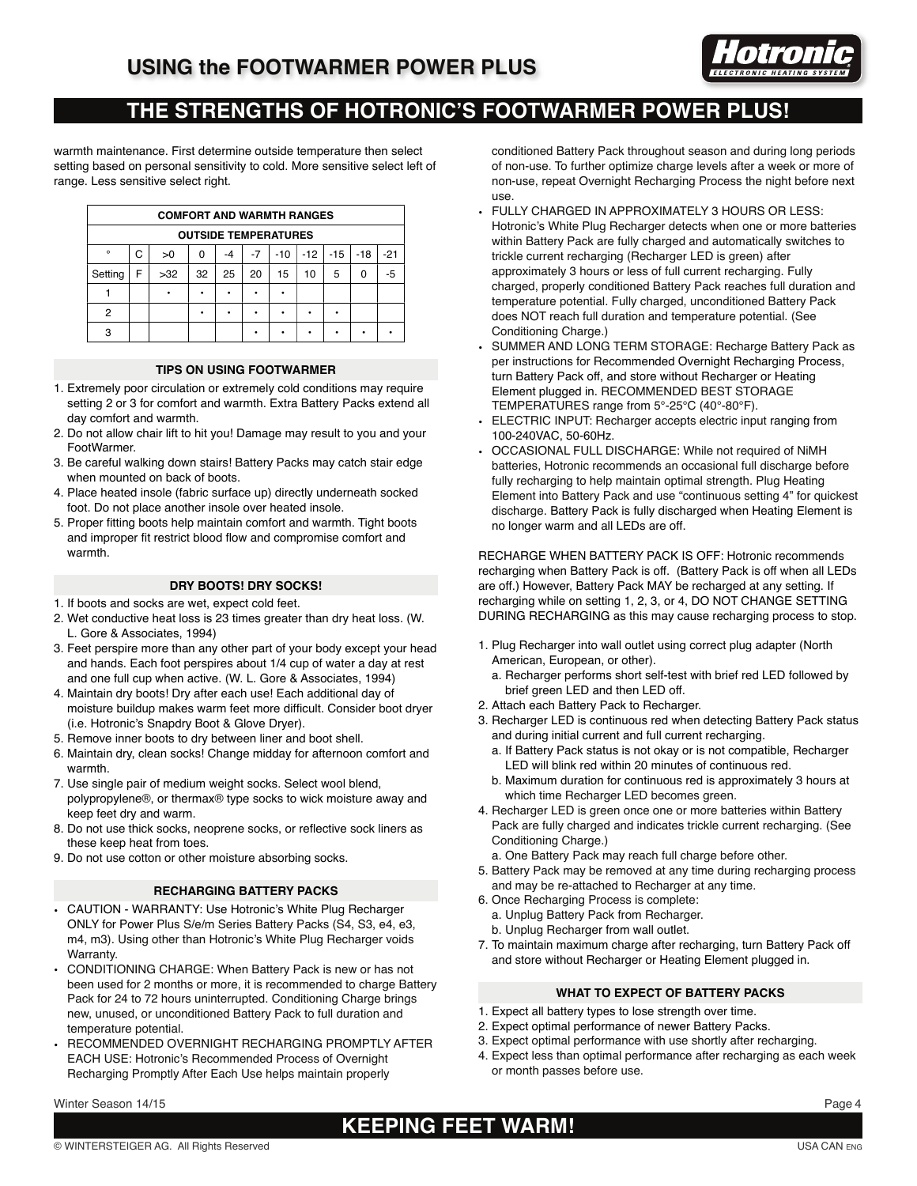

warmth maintenance. First determine outside temperature then select setting based on personal sensitivity to cold. More sensitive select left of range. Less sensitive select right.

| <b>COMFORT AND WARMTH RANGES</b> |   |     |    |    |      |       |       |       |       |     |  |  |
|----------------------------------|---|-----|----|----|------|-------|-------|-------|-------|-----|--|--|
| <b>OUTSIDE TEMPERATURES</b>      |   |     |    |    |      |       |       |       |       |     |  |  |
| $\circ$                          | C | >0  | O  | -4 | $-7$ | $-10$ | $-12$ | $-15$ | $-18$ | -21 |  |  |
| Setting                          | F | >32 | 32 | 25 | 20   | 15    | 10    | 5     | O     | -5  |  |  |
|                                  |   |     |    | ٠  |      |       |       |       |       |     |  |  |
| 2                                |   |     |    |    |      |       |       |       |       |     |  |  |
| 3                                |   |     |    |    |      |       |       |       |       |     |  |  |

#### **TIPS ON USING FOOTWARMER**

- 1. Extremely poor circulation or extremely cold conditions may require setting 2 or 3 for comfort and warmth. Extra Battery Packs extend all day comfort and warmth.
- 2. Do not allow chair lift to hit you! Damage may result to you and your FootWarmer.
- 3. Be careful walking down stairs! Battery Packs may catch stair edge when mounted on back of boots.
- 4. Place heated insole (fabric surface up) directly underneath socked foot. Do not place another insole over heated insole.
- 5. Proper fitting boots help maintain comfort and warmth. Tight boots and improper fit restrict blood flow and compromise comfort and warmth.

#### **DRY BOOTS! DRY SOCKS!**

- 1. If boots and socks are wet, expect cold feet.
- 2. Wet conductive heat loss is 23 times greater than dry heat loss. (W. L. Gore & Associates, 1994)
- 3. Feet perspire more than any other part of your body except your head and hands. Each foot perspires about 1/4 cup of water a day at rest and one full cup when active. (W. L. Gore & Associates, 1994)
- 4. Maintain dry boots! Dry after each use! Each additional day of moisture buildup makes warm feet more difficult. Consider boot dryer (i.e. Hotronic's Snapdry Boot & Glove Dryer).
- 5. Remove inner boots to dry between liner and boot shell.
- 6. Maintain dry, clean socks! Change midday for afternoon comfort and warmth.
- 7. Use single pair of medium weight socks. Select wool blend, polypropylene®, or thermax® type socks to wick moisture away and keep feet dry and warm.
- 8. Do not use thick socks, neoprene socks, or reflective sock liners as these keep heat from toes.
- 9. Do not use cotton or other moisture absorbing socks.

#### **RECHARGING BATTERY PACKS**

- CAUTION WARRANTY: Use Hotronic's White Plug Recharger ONLY for Power Plus S/e/m Series Battery Packs (S4, S3, e4, e3, m4, m3). Using other than Hotronic's White Plug Recharger voids Warranty.
- CONDITIONING CHARGE: When Battery Pack is new or has not been used for 2 months or more, it is recommended to charge Battery Pack for 24 to 72 hours uninterrupted. Conditioning Charge brings new, unused, or unconditioned Battery Pack to full duration and temperature potential.
- P RECOMMENDED OVERNIGHT RECHARGING PROMPTLY AFTER EACH USE: Hotronic's Recommended Process of Overnight Recharging Promptly After Each Use helps maintain properly

conditioned Battery Pack throughout season and during long periods of non-use. To further optimize charge levels after a week or more of non-use, repeat Overnight Recharging Process the night before next use.

- FULLY CHARGED IN APPROXIMATELY 3 HOURS OR LESS: Hotronic's White Plug Recharger detects when one or more batteries within Battery Pack are fully charged and automatically switches to trickle current recharging (Recharger LED is green) after approximately 3 hours or less of full current recharging. Fully charged, properly conditioned Battery Pack reaches full duration and temperature potential. Fully charged, unconditioned Battery Pack does NOT reach full duration and temperature potential. (See Conditioning Charge.)
- SUMMER AND LONG TERM STORAGE: Recharge Battery Pack as per instructions for Recommended Overnight Recharging Process, turn Battery Pack off, and store without Recharger or Heating Element plugged in. RECOMMENDED BEST STORAGE TEMPERATURES range from 5°-25°C (40°-80°F).
- ELECTRIC INPUT: Recharger accepts electric input ranging from 100-240VAC, 50-60Hz.
- OCCASIONAL FULL DISCHARGE: While not required of NiMH batteries, Hotronic recommends an occasional full discharge before fully recharging to help maintain optimal strength. Plug Heating Element into Battery Pack and use "continuous setting 4" for quickest discharge. Battery Pack is fully discharged when Heating Element is no longer warm and all LEDs are off.

RECHARGE WHEN BATTERY PACK IS OFF: Hotronic recommends recharging when Battery Pack is off. (Battery Pack is off when all LEDs are off.) However, Battery Pack MAY be recharged at any setting. If recharging while on setting 1, 2, 3, or 4, DO NOT CHANGE SETTING DURING RECHARGING as this may cause recharging process to stop.

- 1. Plug Recharger into wall outlet using correct plug adapter (North American, European, or other).
	- a. Recharger performs short self-test with brief red LED followed by brief green LED and then LED off.
- 2. Attach each Battery Pack to Recharger.
- 3. Recharger LED is continuous red when detecting Battery Pack status and during initial current and full current recharging.
	- a. If Battery Pack status is not okay or is not compatible, Recharger LED will blink red within 20 minutes of continuous red.
	- b. Maximum duration for continuous red is approximately 3 hours at which time Recharger LED becomes green.
- 4. Recharger LED is green once one or more batteries within Battery Pack are fully charged and indicates trickle current recharging. (See Conditioning Charge.)
	- a. One Battery Pack may reach full charge before other.
- 5. Battery Pack may be removed at any time during recharging process and may be re-attached to Recharger at any time.
- 6. Once Recharging Process is complete:
	- a. Unplug Battery Pack from Recharger.
- b. Unplug Recharger from wall outlet.
- 7. To maintain maximum charge after recharging, turn Battery Pack off and store without Recharger or Heating Element plugged in.

#### **WHAT TO EXPECT OF BATTERY PACKS**

- 1. Expect all battery types to lose strength over time.
- 2. Expect optimal performance of newer Battery Packs.
- 3. Expect optimal performance with use shortly after recharging.
- 4. Expect less than optimal performance after recharging as each week or month passes before use.

Winter Season 14/15 Page 4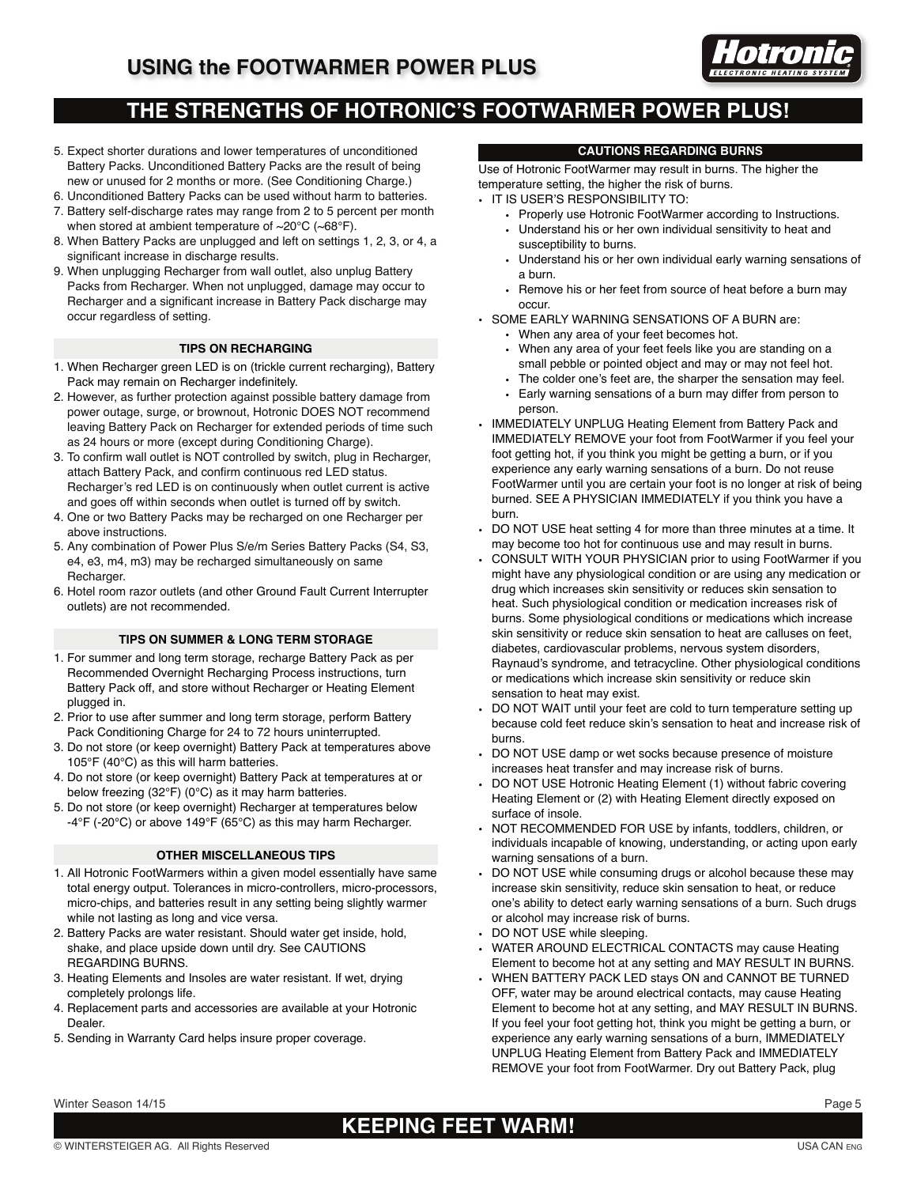

- 5. Expect shorter durations and lower temperatures of unconditioned Battery Packs. Unconditioned Battery Packs are the result of being new or unused for 2 months or more. (See Conditioning Charge.)
- 6. Unconditioned Battery Packs can be used without harm to batteries.
- 7. Battery self-discharge rates may range from 2 to 5 percent per month when stored at ambient temperature of ~20°C (~68°F).
- 8. When Battery Packs are unplugged and left on settings 1, 2, 3, or 4, a significant increase in discharge results.
- 9. When unplugging Recharger from wall outlet, also unplug Battery Packs from Recharger. When not unplugged, damage may occur to Recharger and a significant increase in Battery Pack discharge may occur regardless of setting.

#### **TIPS ON RECHARGING**

- 1. When Recharger green LED is on (trickle current recharging), Battery Pack may remain on Recharger indefinitely.
- 2. However, as further protection against possible battery damage from power outage, surge, or brownout, Hotronic DOES NOT recommend leaving Battery Pack on Recharger for extended periods of time such as 24 hours or more (except during Conditioning Charge).
- 3. To confirm wall outlet is NOT controlled by switch, plug in Recharger, attach Battery Pack, and confirm continuous red LED status. Recharger's red LED is on continuously when outlet current is active and goes off within seconds when outlet is turned off by switch.
- 4. One or two Battery Packs may be recharged on one Recharger per above instructions.
- 5. Any combination of Power Plus S/e/m Series Battery Packs (S4, S3, e4, e3, m4, m3) may be recharged simultaneously on same Recharger.
- 6. Hotel room razor outlets (and other Ground Fault Current Interrupter outlets) are not recommended.

#### **TIPS ON SUMMER & LONG TERM STORAGE**

- 1. For summer and long term storage, recharge Battery Pack as per Recommended Overnight Recharging Process instructions, turn Battery Pack off, and store without Recharger or Heating Element plugged in.
- 2. Prior to use after summer and long term storage, perform Battery Pack Conditioning Charge for 24 to 72 hours uninterrupted.
- 3. Do not store (or keep overnight) Battery Pack at temperatures above 105°F (40°C) as this will harm batteries.
- 4. Do not store (or keep overnight) Battery Pack at temperatures at or below freezing (32°F) (0°C) as it may harm batteries.
- 5. Do not store (or keep overnight) Recharger at temperatures below -4°F (-20°C) or above 149°F (65°C) as this may harm Recharger.

#### **OTHER MISCELLANEOUS TIPS**

- 1. All Hotronic FootWarmers within a given model essentially have same total energy output. Tolerances in micro-controllers, micro-processors, micro-chips, and batteries result in any setting being slightly warmer while not lasting as long and vice versa.
- 2. Battery Packs are water resistant. Should water get inside, hold, shake, and place upside down until dry. See CAUTIONS REGARDING BURNS.
- 3. Heating Elements and Insoles are water resistant. If wet, drying completely prolongs life.
- 4. Replacement parts and accessories are available at your Hotronic Dealer.
- 5. Sending in Warranty Card helps insure proper coverage.

#### **CAUTIONS REGARDING BURNS**

Use of Hotronic FootWarmer may result in burns. The higher the temperature setting, the higher the risk of burns.

- IT IS USER'S RESPONSIBILITY TO:
	- Properly use Hotronic FootWarmer according to Instructions.
	- Understand his or her own individual sensitivity to heat and susceptibility to burns.
	- Understand his or her own individual early warning sensations of a burn.
	- Remove his or her feet from source of heat before a burn may occur.
- SOME EARLY WARNING SENSATIONS OF A BURN are:
	- When any area of your feet becomes hot.
	- When any area of your feet feels like you are standing on a small pebble or pointed object and may or may not feel hot.
	- The colder one's feet are, the sharper the sensation may feel.
	- Early warning sensations of a burn may differ from person to person.
- IMMEDIATELY UNPLUG Heating Element from Battery Pack and IMMEDIATELY REMOVE your foot from FootWarmer if you feel your foot getting hot, if you think you might be getting a burn, or if you experience any early warning sensations of a burn. Do not reuse FootWarmer until you are certain your foot is no longer at risk of being burned. SEE A PHYSICIAN IMMEDIATELY if you think you have a burn.
- DO NOT USE heat setting 4 for more than three minutes at a time. It may become too hot for continuous use and may result in burns.
- CONSULT WITH YOUR PHYSICIAN prior to using FootWarmer if you might have any physiological condition or are using any medication or drug which increases skin sensitivity or reduces skin sensation to heat. Such physiological condition or medication increases risk of burns. Some physiological conditions or medications which increase skin sensitivity or reduce skin sensation to heat are calluses on feet, diabetes, cardiovascular problems, nervous system disorders, Raynaud's syndrome, and tetracycline. Other physiological conditions or medications which increase skin sensitivity or reduce skin sensation to heat may exist.
- DO NOT WAIT until your feet are cold to turn temperature setting up because cold feet reduce skin's sensation to heat and increase risk of burns.
- DO NOT USE damp or wet socks because presence of moisture increases heat transfer and may increase risk of burns.
- DO NOT USE Hotronic Heating Element (1) without fabric covering Heating Element or (2) with Heating Element directly exposed on surface of insole.
- NOT RECOMMENDED FOR USE by infants, toddlers, children, or individuals incapable of knowing, understanding, or acting upon early warning sensations of a burn.
- DO NOT USE while consuming drugs or alcohol because these may increase skin sensitivity, reduce skin sensation to heat, or reduce one's ability to detect early warning sensations of a burn. Such drugs or alcohol may increase risk of burns.
- DO NOT USE while sleeping.
- WATER AROUND ELECTRICAL CONTACTS may cause Heating Element to become hot at any setting and MAY RESULT IN BURNS.
- WHEN BATTERY PACK LED stays ON and CANNOT BE TURNED OFF, water may be around electrical contacts, may cause Heating Element to become hot at any setting, and MAY RESULT IN BURNS. If you feel your foot getting hot, think you might be getting a burn, or experience any early warning sensations of a burn, IMMEDIATELY UNPLUG Heating Element from Battery Pack and IMMEDIATELY REMOVE your foot from FootWarmer. Dry out Battery Pack, plug

Winter Season 14/15 Page 5